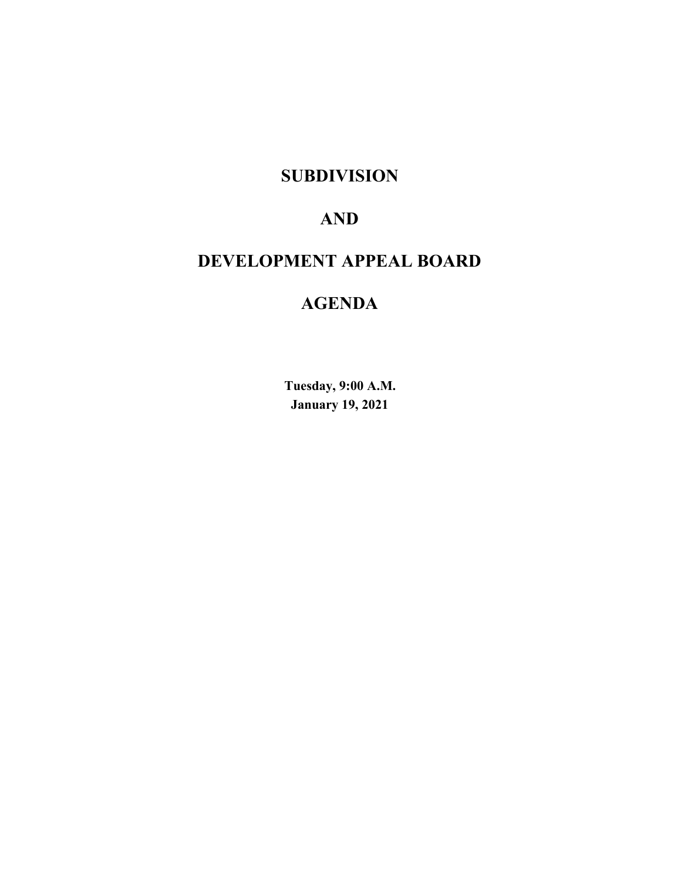# **SUBDIVISION**

# **AND**

# **DEVELOPMENT APPEAL BOARD**

# **AGENDA**

**Tuesday, 9:00 A.M. January 19, 2021**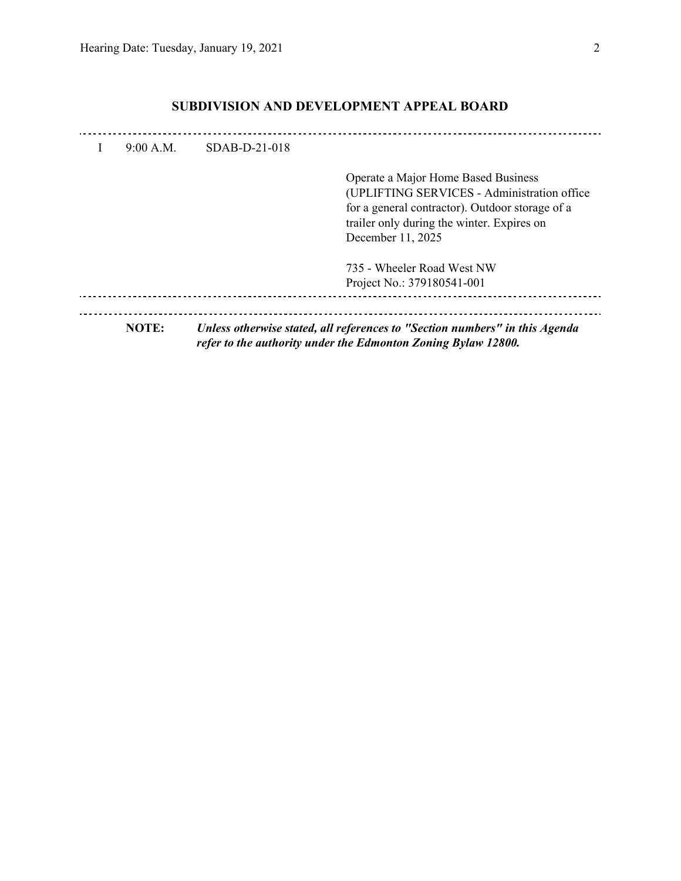| $9.00 \text{ A M}$ | $SDAB-D-21-018$ |                                                                                                                                                                                                           |
|--------------------|-----------------|-----------------------------------------------------------------------------------------------------------------------------------------------------------------------------------------------------------|
|                    |                 | Operate a Major Home Based Business<br>(UPLIFTING SERVICES - Administration office)<br>for a general contractor). Outdoor storage of a<br>trailer only during the winter. Expires on<br>December 11, 2025 |
|                    |                 | 735 - Wheeler Road West NW<br>Project No.: 379180541-001                                                                                                                                                  |
| NOTE:              |                 | Unless otherwise stated, all references to "Section numbers" in this Agenda<br>refer to the authority under the Edmonton Zoning Bylaw 12800.                                                              |

### **SUBDIVISION AND DEVELOPMENT APPEAL BOARD**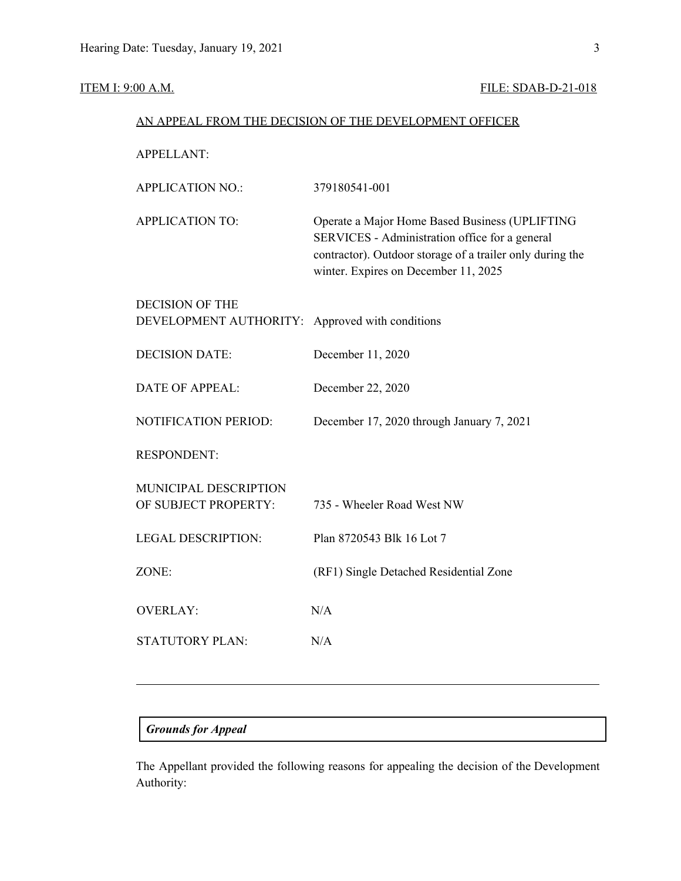### **ITEM I: 9:00 A.M. FILE: SDAB-D-21-018**

| AN APPEAL FROM THE DECISION OF THE DEVELOPMENT OFFICER |                                                                                                                                                                                                       |  |  |  |  |
|--------------------------------------------------------|-------------------------------------------------------------------------------------------------------------------------------------------------------------------------------------------------------|--|--|--|--|
| <b>APPELLANT:</b>                                      |                                                                                                                                                                                                       |  |  |  |  |
| <b>APPLICATION NO.:</b>                                | 379180541-001                                                                                                                                                                                         |  |  |  |  |
| <b>APPLICATION TO:</b>                                 | Operate a Major Home Based Business (UPLIFTING<br>SERVICES - Administration office for a general<br>contractor). Outdoor storage of a trailer only during the<br>winter. Expires on December 11, 2025 |  |  |  |  |
| <b>DECISION OF THE</b>                                 |                                                                                                                                                                                                       |  |  |  |  |
| DEVELOPMENT AUTHORITY:                                 | Approved with conditions                                                                                                                                                                              |  |  |  |  |
| <b>DECISION DATE:</b>                                  | December 11, 2020                                                                                                                                                                                     |  |  |  |  |
| <b>DATE OF APPEAL:</b>                                 | December 22, 2020                                                                                                                                                                                     |  |  |  |  |
| NOTIFICATION PERIOD:                                   | December 17, 2020 through January 7, 2021                                                                                                                                                             |  |  |  |  |
| <b>RESPONDENT:</b>                                     |                                                                                                                                                                                                       |  |  |  |  |
| MUNICIPAL DESCRIPTION                                  |                                                                                                                                                                                                       |  |  |  |  |
| OF SUBJECT PROPERTY:                                   | 735 - Wheeler Road West NW                                                                                                                                                                            |  |  |  |  |
| <b>LEGAL DESCRIPTION:</b>                              | Plan 8720543 Blk 16 Lot 7                                                                                                                                                                             |  |  |  |  |
| ZONE:                                                  | (RF1) Single Detached Residential Zone                                                                                                                                                                |  |  |  |  |
| <b>OVERLAY:</b>                                        | N/A                                                                                                                                                                                                   |  |  |  |  |
| <b>STATUTORY PLAN:</b>                                 | N/A                                                                                                                                                                                                   |  |  |  |  |
|                                                        |                                                                                                                                                                                                       |  |  |  |  |

### *Grounds for Appeal*

The Appellant provided the following reasons for appealing the decision of the Development Authority: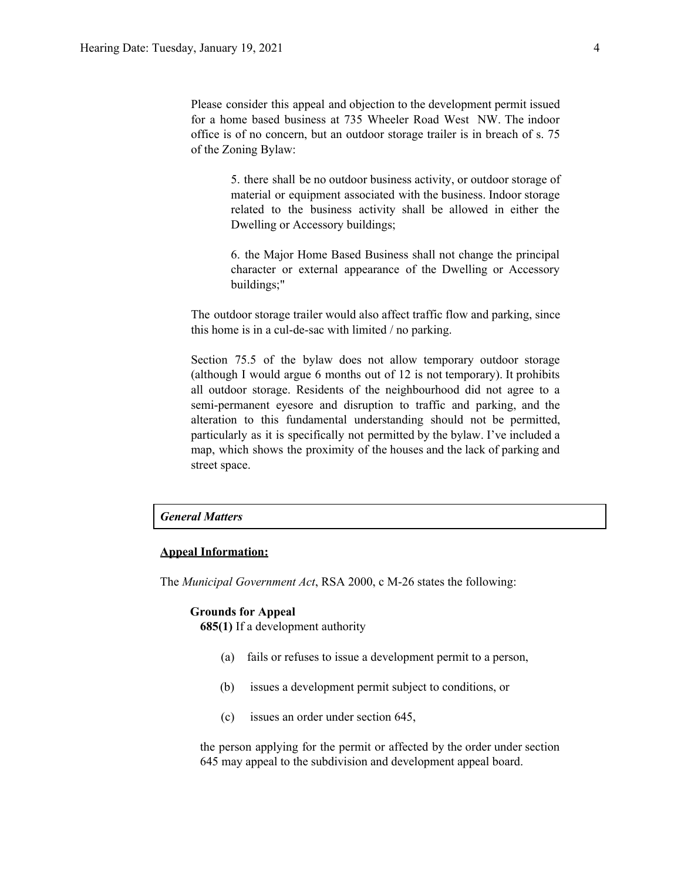Please consider this appeal and objection to the development permit issued for a home based business at 735 Wheeler Road West NW. The indoor office is of no concern, but an outdoor storage trailer is in breach of s. 75 of the Zoning Bylaw:

> 5. there shall be no outdoor business activity, or outdoor storage of material or equipment associated with the business. Indoor storage related to the business activity shall be allowed in either the Dwelling or Accessory buildings;

> 6. the Major Home Based Business shall not change the principal character or external appearance of the Dwelling or Accessory buildings;"

The outdoor storage trailer would also affect traffic flow and parking, since this home is in a cul-de-sac with limited / no parking.

Section 75.5 of the bylaw does not allow temporary outdoor storage (although I would argue 6 months out of 12 is not temporary). It prohibits all outdoor storage. Residents of the neighbourhood did not agree to a semi-permanent eyesore and disruption to traffic and parking, and the alteration to this fundamental understanding should not be permitted, particularly as it is specifically not permitted by the bylaw. I've included a map, which shows the proximity of the houses and the lack of parking and street space.

#### *General Matters*

#### **Appeal Information:**

The *Municipal Government Act*, RSA 2000, c M-26 states the following:

#### **Grounds for Appeal**

**685(1)** If a development authority

- (a) fails or refuses to issue a development permit to a person,
- (b) issues a development permit subject to conditions, or
- (c) issues an order under section 645,

the person applying for the permit or affected by the order under section 645 may appeal to the subdivision and development appeal board.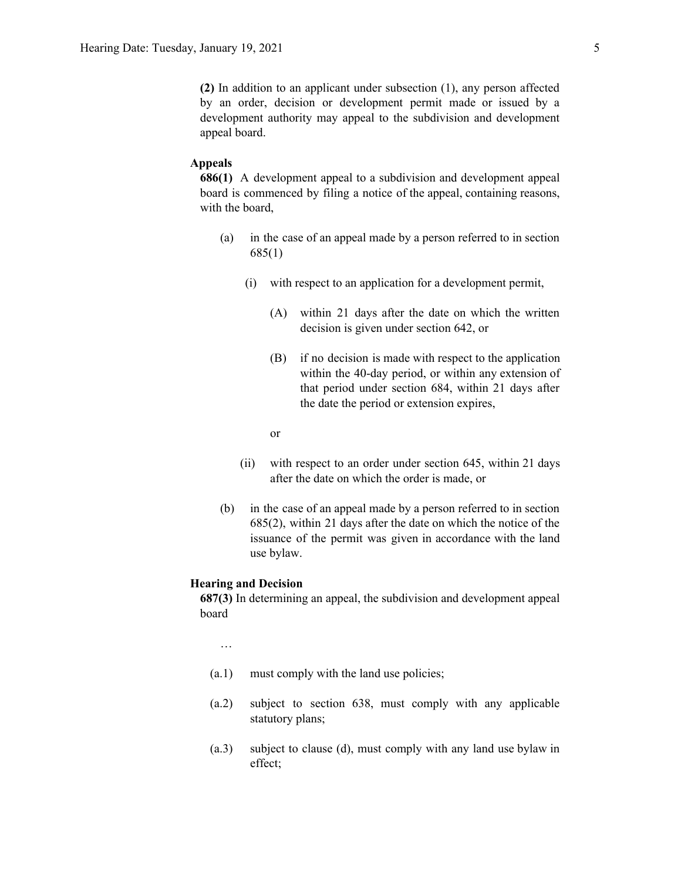**(2)** In addition to an applicant under subsection (1), any person affected by an order, decision or development permit made or issued by a development authority may appeal to the subdivision and development appeal board.

#### **Appeals**

**686(1)** A development appeal to a subdivision and development appeal board is commenced by filing a notice of the appeal, containing reasons, with the board,

- (a) in the case of an appeal made by a person referred to in section 685(1)
	- (i) with respect to an application for a development permit,
		- (A) within 21 days after the date on which the written decision is given under section 642, or
		- (B) if no decision is made with respect to the application within the 40-day period, or within any extension of that period under section 684, within 21 days after the date the period or extension expires,

or

- (ii) with respect to an order under section 645, within 21 days after the date on which the order is made, or
- (b) in the case of an appeal made by a person referred to in section 685(2), within 21 days after the date on which the notice of the issuance of the permit was given in accordance with the land use bylaw.

#### **Hearing and Decision**

**687(3)** In determining an appeal, the subdivision and development appeal board

…

- (a.1) must comply with the land use policies;
- (a.2) subject to section 638, must comply with any applicable statutory plans;
- (a.3) subject to clause (d), must comply with any land use bylaw in effect;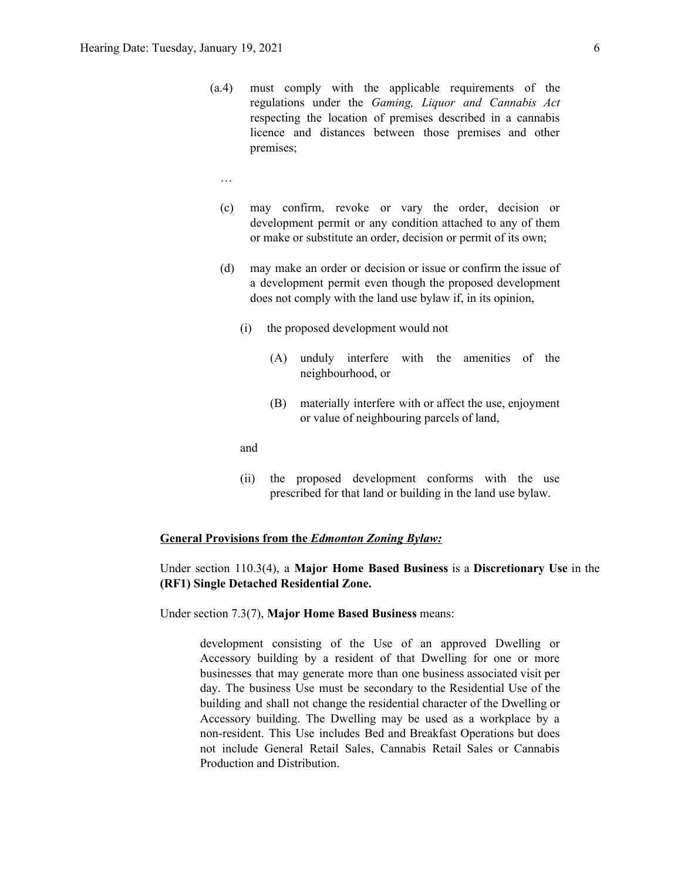- (a.4) must comply with the applicable requirements of the regulations under the *Gaming, Liquor and Cannabis Act* respecting the location of premises described in a cannabis licence and distances between those premises and other premises;
	- …
	- (c) may confirm, revoke or vary the order, decision or development permit or any condition attached to any of them or make or substitute an order, decision or permit of its own;
	- (d) may make an order or decision or issue or confirm the issue of a development permit even though the proposed development does not comply with the land use bylaw if, in its opinion,
		- (i) the proposed development would not
			- (A) unduly interfere with the amenities of the neighbourhood, or
			- (B) materially interfere with or affect the use, enjoyment or value of neighbouring parcels of land,

and

(ii) the proposed development conforms with the use prescribed for that land or building in the land use bylaw.

#### **General Provisions from the** *Edmonton Zoning Bylaw:*

### Under section 110.3(4), a **Major Home Based Business** is a **Discretionary Use** in the **(RF1) Single Detached Residential Zone.**

Under section 7.3(7), **Major Home Based Business** means:

development consisting of the Use of an approved Dwelling or Accessory building by a resident of that Dwelling for one or more businesses that may generate more than one business associated visit per day. The business Use must be secondary to the Residential Use of the building and shall not change the residential character of the Dwelling or Accessory building. The Dwelling may be used as a workplace by a non-resident. This Use includes Bed and Breakfast Operations but does not include General Retail Sales, Cannabis Retail Sales or Cannabis Production and Distribution.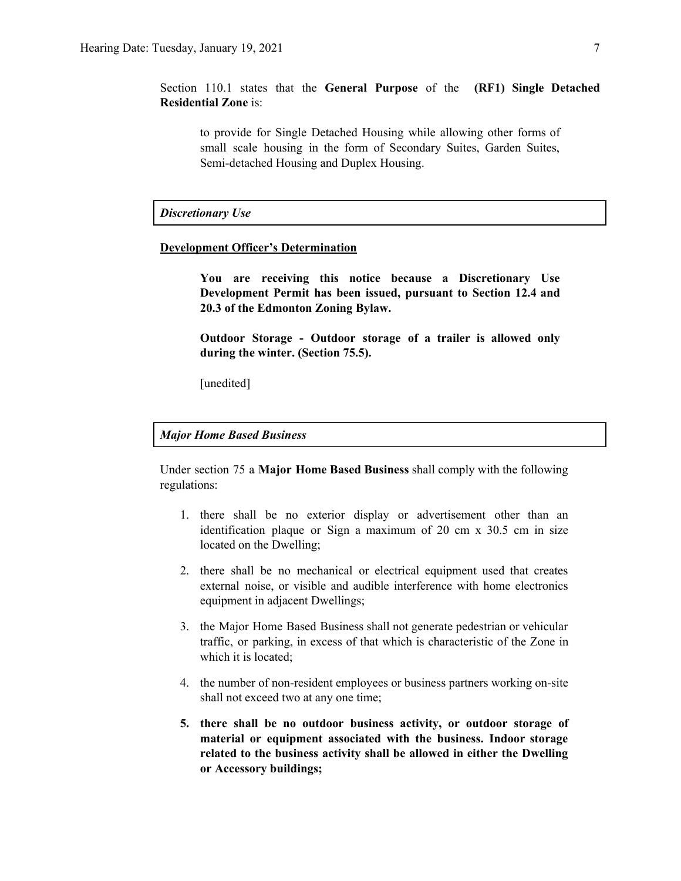Section 110.1 states that the **General Purpose** of the **(RF1) Single Detached Residential Zone** is:

to provide for Single Detached Housing while allowing other forms of small scale housing in the form of Secondary Suites, Garden Suites, Semi-detached Housing and Duplex Housing.

*Discretionary Use*

#### **Development Officer's Determination**

**You are receiving this notice because a Discretionary Use Development Permit has been issued, pursuant to Section 12.4 and 20.3 of the Edmonton Zoning Bylaw.**

**Outdoor Storage - Outdoor storage of a trailer is allowed only during the winter. (Section 75.5).**

[unedited]

#### *Major Home Based Business*

Under section 75 a **Major Home Based Business** shall comply with the following regulations:

- 1. there shall be no exterior display or advertisement other than an identification plaque or Sign a maximum of 20 cm x 30.5 cm in size located on the Dwelling;
- 2. there shall be no mechanical or electrical equipment used that creates external noise, or visible and audible interference with home electronics equipment in adjacent Dwellings;
- 3. the Major Home Based Business shall not generate pedestrian or vehicular traffic, or parking, in excess of that which is characteristic of the Zone in which it is located;
- 4. the number of non-resident employees or business partners working on-site shall not exceed two at any one time;
- **5. there shall be no outdoor business activity, or outdoor storage of material or equipment associated with the business. Indoor storage related to the business activity shall be allowed in either the Dwelling or Accessory buildings;**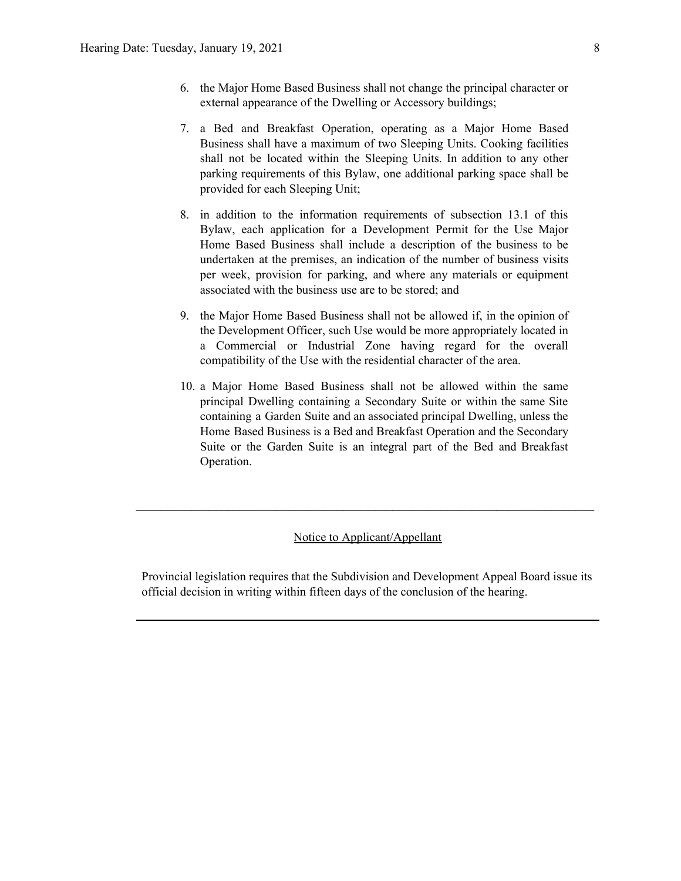- 6. the Major Home Based Business shall not change the principal character or external appearance of the Dwelling or Accessory buildings;
- 7. a Bed and Breakfast Operation, operating as a Major Home Based Business shall have a maximum of two Sleeping Units. Cooking facilities shall not be located within the Sleeping Units. In addition to any other parking requirements of this Bylaw, one additional parking space shall be provided for each Sleeping Unit;
- 8. in addition to the information requirements of subsection 13.1 of this Bylaw, each application for a Development Permit for the Use Major Home Based Business shall include a description of the business to be undertaken at the premises, an indication of the number of business visits per week, provision for parking, and where any materials or equipment associated with the business use are to be stored; and
- 9. the Major Home Based Business shall not be allowed if, in the opinion of the Development Officer, such Use would be more appropriately located in a Commercial or Industrial Zone having regard for the overall compatibility of the Use with the residential character of the area.
- 10. a Major Home Based Business shall not be allowed within the same principal Dwelling containing a Secondary Suite or within the same Site containing a Garden Suite and an associated principal Dwelling, unless the Home Based Business is a Bed and Breakfast Operation and the Secondary Suite or the Garden Suite is an integral part of the Bed and Breakfast Operation.

#### Notice to Applicant/Appellant

**\_\_\_\_\_\_\_\_\_\_\_\_\_\_\_\_\_\_\_\_\_\_\_\_\_\_\_\_\_\_\_\_\_\_\_\_\_\_\_\_\_\_\_\_\_\_\_\_\_\_\_\_\_\_\_\_\_\_\_\_\_\_\_\_\_\_\_\_\_\_\_\_\_\_\_**

Provincial legislation requires that the Subdivision and Development Appeal Board issue its official decision in writing within fifteen days of the conclusion of the hearing.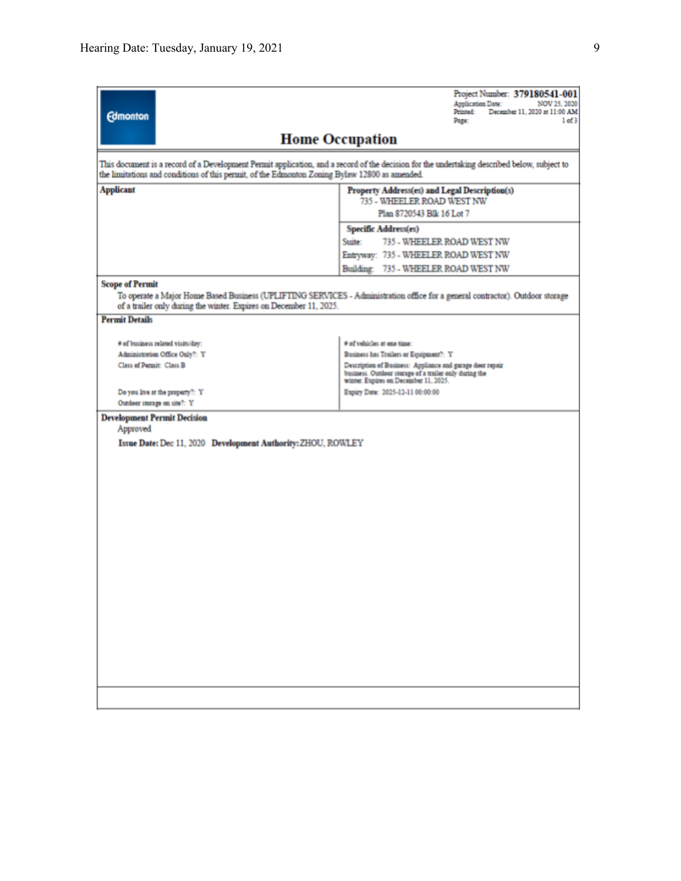| <b>Edmonton</b>                                                                                                                                                                                                                              | Project Number: 379180541-001<br><b>Application Date:</b><br>NOV 25, 2020<br>Printed:<br>December 11, 2020 at 11:00 AM<br>$1$ of $3$<br>Page:                |  |  |  |  |  |  |
|----------------------------------------------------------------------------------------------------------------------------------------------------------------------------------------------------------------------------------------------|--------------------------------------------------------------------------------------------------------------------------------------------------------------|--|--|--|--|--|--|
| <b>Home Occupation</b>                                                                                                                                                                                                                       |                                                                                                                                                              |  |  |  |  |  |  |
| This document is a record of a Development Permit application, and a record of the decision for the undertaking described below, subject to<br>the limitations and conditions of this permit, of the Edmonton Zoning Bylaw 12800 as amended. |                                                                                                                                                              |  |  |  |  |  |  |
| <b>Applicant</b><br>Property Address(es) and Legal Description(s)<br>735 - WHEELER ROAD WEST NW                                                                                                                                              |                                                                                                                                                              |  |  |  |  |  |  |
|                                                                                                                                                                                                                                              | Plan 8720543 Blk 16 Lot 7                                                                                                                                    |  |  |  |  |  |  |
|                                                                                                                                                                                                                                              | Specific Address(es)                                                                                                                                         |  |  |  |  |  |  |
|                                                                                                                                                                                                                                              | 735 - WHEELER ROAD WEST NW<br>Suite:                                                                                                                         |  |  |  |  |  |  |
|                                                                                                                                                                                                                                              | Entryway: 735 - WHEELER ROAD WEST NW                                                                                                                         |  |  |  |  |  |  |
|                                                                                                                                                                                                                                              | Building: 735 - WHEELER ROAD WEST NW                                                                                                                         |  |  |  |  |  |  |
| <b>Scope of Permit</b><br>of a trailer only during the winter. Expires on December 11, 2025.                                                                                                                                                 | To operate a Major Home Based Business (UPLIFTING SERVICES - Administration office for a general contractor). Outdoor storage                                |  |  |  |  |  |  |
| <b>Permit Details</b>                                                                                                                                                                                                                        |                                                                                                                                                              |  |  |  |  |  |  |
| # of business related visits/day:                                                                                                                                                                                                            | # of vehicles at one time:                                                                                                                                   |  |  |  |  |  |  |
| Administration Office Only?: Y                                                                                                                                                                                                               | Business has Trailers or Equipment?: Y                                                                                                                       |  |  |  |  |  |  |
| Class of Permit: Class B                                                                                                                                                                                                                     | Description of Business: Appliance and garage door repair<br>business. Outdoor storage of a trailer only during the<br>winter. Expires on December 11, 2025. |  |  |  |  |  |  |
| Do you live at the property?: Y                                                                                                                                                                                                              | Expiry Date: 2025-12-11 00:00:00                                                                                                                             |  |  |  |  |  |  |
| Outdoor storage on site?: Y                                                                                                                                                                                                                  |                                                                                                                                                              |  |  |  |  |  |  |
| <b>Development Permit Decision</b><br>Approved                                                                                                                                                                                               |                                                                                                                                                              |  |  |  |  |  |  |
| Issue Date: Dec 11, 2020 Development Authority: ZHOU, ROWLEY                                                                                                                                                                                 |                                                                                                                                                              |  |  |  |  |  |  |
|                                                                                                                                                                                                                                              |                                                                                                                                                              |  |  |  |  |  |  |
|                                                                                                                                                                                                                                              |                                                                                                                                                              |  |  |  |  |  |  |
|                                                                                                                                                                                                                                              |                                                                                                                                                              |  |  |  |  |  |  |
|                                                                                                                                                                                                                                              |                                                                                                                                                              |  |  |  |  |  |  |
|                                                                                                                                                                                                                                              |                                                                                                                                                              |  |  |  |  |  |  |
|                                                                                                                                                                                                                                              |                                                                                                                                                              |  |  |  |  |  |  |
|                                                                                                                                                                                                                                              |                                                                                                                                                              |  |  |  |  |  |  |
|                                                                                                                                                                                                                                              |                                                                                                                                                              |  |  |  |  |  |  |
|                                                                                                                                                                                                                                              |                                                                                                                                                              |  |  |  |  |  |  |
|                                                                                                                                                                                                                                              |                                                                                                                                                              |  |  |  |  |  |  |
|                                                                                                                                                                                                                                              |                                                                                                                                                              |  |  |  |  |  |  |
|                                                                                                                                                                                                                                              |                                                                                                                                                              |  |  |  |  |  |  |
|                                                                                                                                                                                                                                              |                                                                                                                                                              |  |  |  |  |  |  |
|                                                                                                                                                                                                                                              |                                                                                                                                                              |  |  |  |  |  |  |
|                                                                                                                                                                                                                                              |                                                                                                                                                              |  |  |  |  |  |  |
|                                                                                                                                                                                                                                              |                                                                                                                                                              |  |  |  |  |  |  |
|                                                                                                                                                                                                                                              |                                                                                                                                                              |  |  |  |  |  |  |
|                                                                                                                                                                                                                                              |                                                                                                                                                              |  |  |  |  |  |  |
|                                                                                                                                                                                                                                              |                                                                                                                                                              |  |  |  |  |  |  |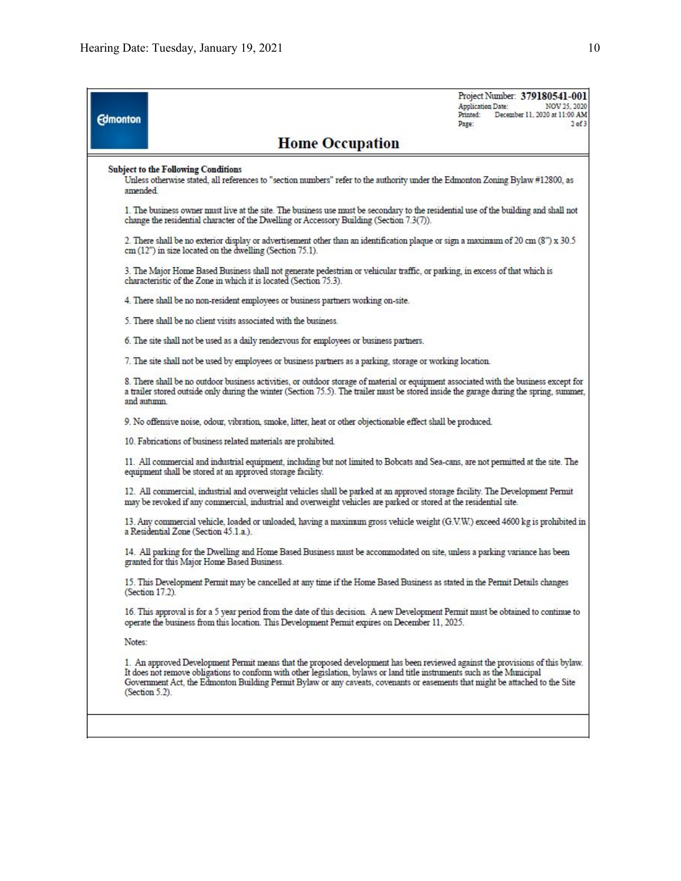| <b>Edmonton</b>  |                                                                                   |                                                                                                                                                                                                                                                                                                                                                                                           | Project Number: 379180541-001<br><b>Application Date:</b><br>NOV 25, 2020<br>December 11, 2020 at 11:00 AM<br>Printed:<br>$2$ of $3$<br>Page: |
|------------------|-----------------------------------------------------------------------------------|-------------------------------------------------------------------------------------------------------------------------------------------------------------------------------------------------------------------------------------------------------------------------------------------------------------------------------------------------------------------------------------------|-----------------------------------------------------------------------------------------------------------------------------------------------|
|                  |                                                                                   | <b>Home Occupation</b>                                                                                                                                                                                                                                                                                                                                                                    |                                                                                                                                               |
| amended          | <b>Subject to the Following Conditions</b>                                        | Unless otherwise stated, all references to "section numbers" refer to the authority under the Edmonton Zoning Bylaw #12800, as                                                                                                                                                                                                                                                            |                                                                                                                                               |
|                  |                                                                                   |                                                                                                                                                                                                                                                                                                                                                                                           |                                                                                                                                               |
|                  |                                                                                   | 1. The business owner must live at the site. The business use must be secondary to the residential use of the building and shall not<br>change the residential character of the Dwelling or Accessory Building (Section 7.3(7)).                                                                                                                                                          |                                                                                                                                               |
|                  | $cm(12")$ in size located on the dwelling (Section $75.1$ ).                      | 2. There shall be no exterior display or advertisement other than an identification plaque or sign a maximum of 20 cm (8") x 30.5                                                                                                                                                                                                                                                         |                                                                                                                                               |
|                  | characteristic of the Zone in which it is located (Section 75.3).                 | 3. The Major Home Based Business shall not generate pedestrian or vehicular traffic, or parking, in excess of that which is                                                                                                                                                                                                                                                               |                                                                                                                                               |
|                  | 4. There shall be no non-resident employees or business partners working on-site. |                                                                                                                                                                                                                                                                                                                                                                                           |                                                                                                                                               |
|                  | 5. There shall be no client visits associated with the business.                  |                                                                                                                                                                                                                                                                                                                                                                                           |                                                                                                                                               |
|                  |                                                                                   | 6. The site shall not be used as a daily rendezvous for employees or business partners.                                                                                                                                                                                                                                                                                                   |                                                                                                                                               |
|                  |                                                                                   | 7. The site shall not be used by employees or business partners as a parking, storage or working location.                                                                                                                                                                                                                                                                                |                                                                                                                                               |
| and autumn.      |                                                                                   | 8. There shall be no outdoor business activities, or outdoor storage of material or equipment associated with the business except for<br>a trailer stored outside only during the winter (Section 75.5). The trailer must be stored inside the garage during the spring, summer,                                                                                                          |                                                                                                                                               |
|                  |                                                                                   | 9. No offensive noise, odour, vibration, smoke, litter, heat or other objectionable effect shall be produced.                                                                                                                                                                                                                                                                             |                                                                                                                                               |
|                  | 10. Fabrications of business related materials are prohibited.                    |                                                                                                                                                                                                                                                                                                                                                                                           |                                                                                                                                               |
|                  | equipment shall be stored at an approved storage facility.                        | 11. All commercial and industrial equipment, including but not limited to Bobcats and Sea-cans, are not permitted at the site. The                                                                                                                                                                                                                                                        |                                                                                                                                               |
|                  |                                                                                   | 12. All commercial, industrial and overweight vehicles shall be parked at an approved storage facility. The Development Permit<br>may be revoked if any commercial, industrial and overweight vehicles are parked or stored at the residential site.                                                                                                                                      |                                                                                                                                               |
|                  | a Residential Zone (Section 45.1.a.).                                             | 13. Any commercial vehicle, loaded or unloaded, having a maximum gross vehicle weight (G.V.W.) exceed 4600 kg is prohibited in                                                                                                                                                                                                                                                            |                                                                                                                                               |
|                  | granted for this Major Home Based Business.                                       | 14. All parking for the Dwelling and Home Based Business must be accommodated on site, unless a parking variance has been                                                                                                                                                                                                                                                                 |                                                                                                                                               |
| (Section 17.2).  |                                                                                   | 15. This Development Permit may be cancelled at any time if the Home Based Business as stated in the Permit Details changes                                                                                                                                                                                                                                                               |                                                                                                                                               |
|                  |                                                                                   | 16. This approval is for a 5 year period from the date of this decision. A new Development Permit must be obtained to continue to<br>operate the business from this location. This Development Permit expires on December 11, 2025.                                                                                                                                                       |                                                                                                                                               |
| Notes:           |                                                                                   |                                                                                                                                                                                                                                                                                                                                                                                           |                                                                                                                                               |
| $(Secton 5.2)$ . |                                                                                   | 1. An approved Development Permit means that the proposed development has been reviewed against the provisions of this bylaw.<br>It does not remove obligations to conform with other legislation, bylaws or land title instruments such as the Municipal<br>Government Act, the Edmonton Building Permit Bylaw or any caveats, covenants or easements that might be attached to the Site |                                                                                                                                               |
|                  |                                                                                   |                                                                                                                                                                                                                                                                                                                                                                                           |                                                                                                                                               |
|                  |                                                                                   |                                                                                                                                                                                                                                                                                                                                                                                           |                                                                                                                                               |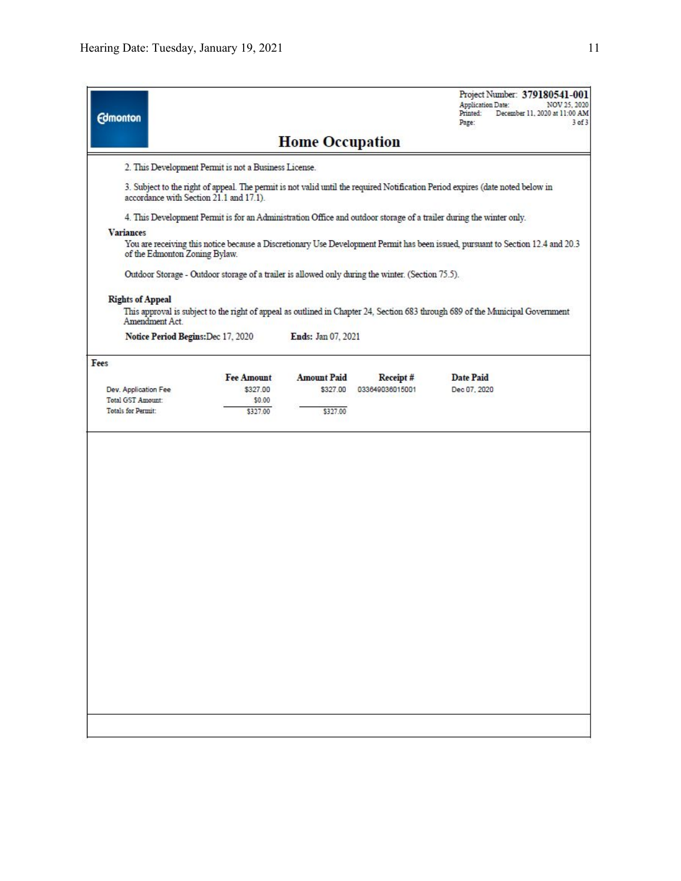| <b>Home Occupation</b><br>2. This Development Permit is not a Business License.<br>3. Subject to the right of appeal. The permit is not valid until the required Notification Period expires (date noted below in<br>accordance with Section 21.1 and 17.1).<br>4. This Development Permit is for an Administration Office and outdoor storage of a trailer during the winter only.<br><b>Variances</b><br>You are receiving this notice because a Discretionary Use Development Permit has been issued, pursuant to Section 12.4 and 20.3<br>of the Edmonton Zoning Bylaw.<br>Outdoor Storage - Outdoor storage of a trailer is allowed only during the winter. (Section 75.5).<br><b>Rights of Appeal</b><br>This approval is subject to the right of appeal as outlined in Chapter 24, Section 683 through 689 of the Municipal Government<br>Amendment Act.<br>Notice Period Begins: Dec 17, 2020<br>Ends: Jan 07, 2021<br><b>Amount Paid</b><br><b>Fee Amount</b><br>Receipt#<br><b>Date Paid</b><br>\$327.00<br>Dec 07, 2020<br>Dev. Application Fee<br>\$327.00<br>033649036015001<br><b>Total GST Amount:</b><br>\$0.00<br>\$327.00<br>Totals for Permit:<br>\$327.00 | <b>Edmonton</b> |  | Project Number: 379180541-001<br>Application Date:<br>NOV 25, 2020<br>December 11, 2020 at 11:00 AM<br>Printed:<br>Page:<br>$3$ of $3$ |
|-------------------------------------------------------------------------------------------------------------------------------------------------------------------------------------------------------------------------------------------------------------------------------------------------------------------------------------------------------------------------------------------------------------------------------------------------------------------------------------------------------------------------------------------------------------------------------------------------------------------------------------------------------------------------------------------------------------------------------------------------------------------------------------------------------------------------------------------------------------------------------------------------------------------------------------------------------------------------------------------------------------------------------------------------------------------------------------------------------------------------------------------------------------------------------|-----------------|--|----------------------------------------------------------------------------------------------------------------------------------------|
|                                                                                                                                                                                                                                                                                                                                                                                                                                                                                                                                                                                                                                                                                                                                                                                                                                                                                                                                                                                                                                                                                                                                                                               |                 |  |                                                                                                                                        |
|                                                                                                                                                                                                                                                                                                                                                                                                                                                                                                                                                                                                                                                                                                                                                                                                                                                                                                                                                                                                                                                                                                                                                                               |                 |  |                                                                                                                                        |
|                                                                                                                                                                                                                                                                                                                                                                                                                                                                                                                                                                                                                                                                                                                                                                                                                                                                                                                                                                                                                                                                                                                                                                               |                 |  |                                                                                                                                        |
|                                                                                                                                                                                                                                                                                                                                                                                                                                                                                                                                                                                                                                                                                                                                                                                                                                                                                                                                                                                                                                                                                                                                                                               |                 |  |                                                                                                                                        |
|                                                                                                                                                                                                                                                                                                                                                                                                                                                                                                                                                                                                                                                                                                                                                                                                                                                                                                                                                                                                                                                                                                                                                                               |                 |  |                                                                                                                                        |
|                                                                                                                                                                                                                                                                                                                                                                                                                                                                                                                                                                                                                                                                                                                                                                                                                                                                                                                                                                                                                                                                                                                                                                               |                 |  |                                                                                                                                        |
|                                                                                                                                                                                                                                                                                                                                                                                                                                                                                                                                                                                                                                                                                                                                                                                                                                                                                                                                                                                                                                                                                                                                                                               |                 |  |                                                                                                                                        |
|                                                                                                                                                                                                                                                                                                                                                                                                                                                                                                                                                                                                                                                                                                                                                                                                                                                                                                                                                                                                                                                                                                                                                                               |                 |  |                                                                                                                                        |
|                                                                                                                                                                                                                                                                                                                                                                                                                                                                                                                                                                                                                                                                                                                                                                                                                                                                                                                                                                                                                                                                                                                                                                               |                 |  |                                                                                                                                        |
|                                                                                                                                                                                                                                                                                                                                                                                                                                                                                                                                                                                                                                                                                                                                                                                                                                                                                                                                                                                                                                                                                                                                                                               | Fees            |  |                                                                                                                                        |
|                                                                                                                                                                                                                                                                                                                                                                                                                                                                                                                                                                                                                                                                                                                                                                                                                                                                                                                                                                                                                                                                                                                                                                               |                 |  |                                                                                                                                        |
|                                                                                                                                                                                                                                                                                                                                                                                                                                                                                                                                                                                                                                                                                                                                                                                                                                                                                                                                                                                                                                                                                                                                                                               |                 |  |                                                                                                                                        |
|                                                                                                                                                                                                                                                                                                                                                                                                                                                                                                                                                                                                                                                                                                                                                                                                                                                                                                                                                                                                                                                                                                                                                                               |                 |  |                                                                                                                                        |
|                                                                                                                                                                                                                                                                                                                                                                                                                                                                                                                                                                                                                                                                                                                                                                                                                                                                                                                                                                                                                                                                                                                                                                               |                 |  |                                                                                                                                        |
|                                                                                                                                                                                                                                                                                                                                                                                                                                                                                                                                                                                                                                                                                                                                                                                                                                                                                                                                                                                                                                                                                                                                                                               |                 |  |                                                                                                                                        |
|                                                                                                                                                                                                                                                                                                                                                                                                                                                                                                                                                                                                                                                                                                                                                                                                                                                                                                                                                                                                                                                                                                                                                                               |                 |  |                                                                                                                                        |